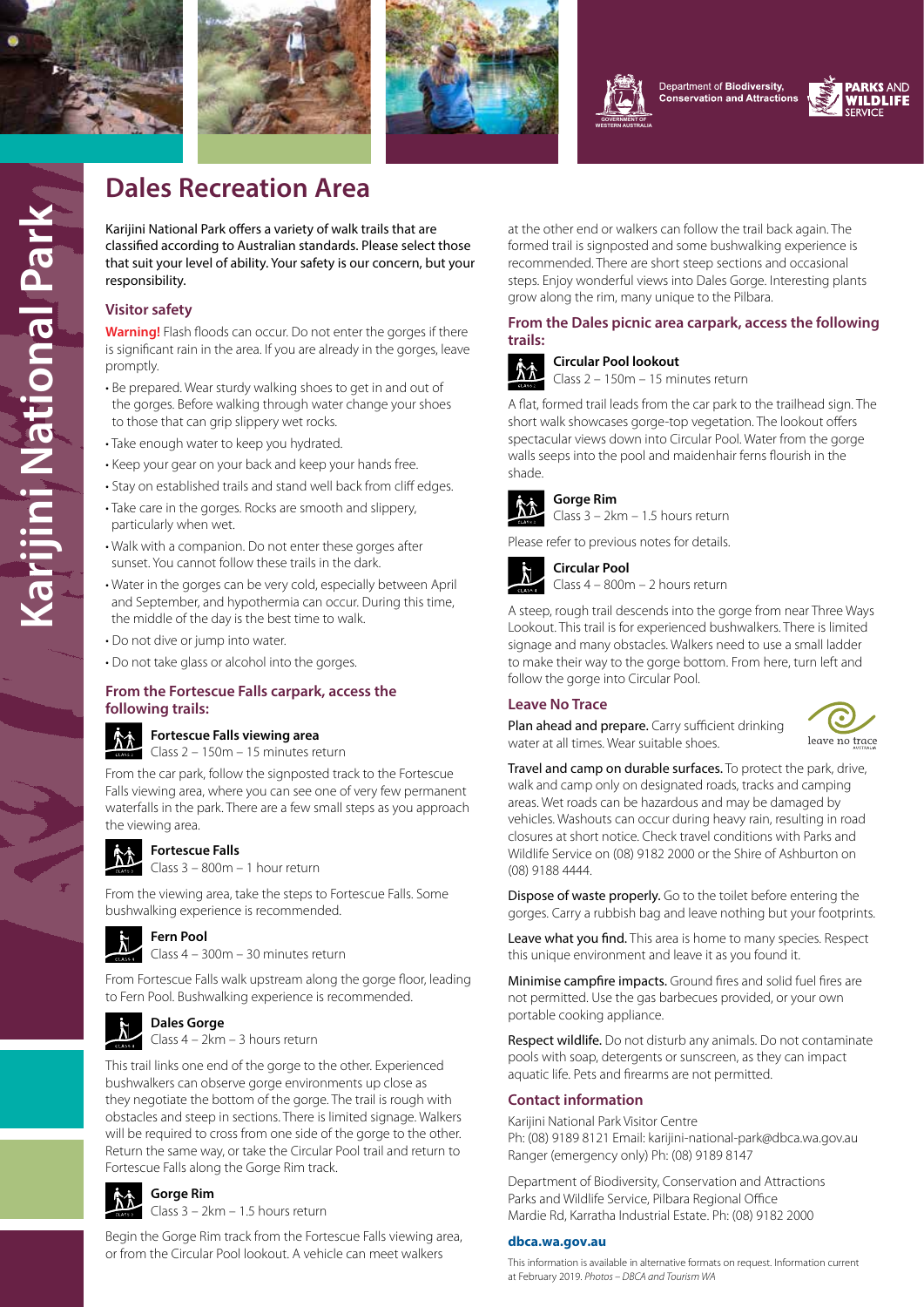

**Karijini National Park**

**Karijini National Park** 







Department of Biodiversity, **Conservation and Attractions** 



# **Dales Recreation Area**

Karijini National Park offers a variety of walk trails that are classified according to Australian standards. Please select those that suit your level of ability. Your safety is our concern, but your responsibility.

# **Visitor safety**

**Warning!** Flash floods can occur. Do not enter the gorges if there is significant rain in the area. If you are already in the gorges, leave promptly.

- Be prepared. Wear sturdy walking shoes to get in and out of the gorges. Before walking through water change your shoes to those that can grip slippery wet rocks.
- Take enough water to keep you hydrated.
- Keep your gear on your back and keep your hands free.
- Stay on established trails and stand well back from cliff edges. • Take care in the gorges. Rocks are smooth and slippery,
- particularly when wet.
- Walk with a companion. Do not enter these gorges after sunset. You cannot follow these trails in the dark.
- Water in the gorges can be very cold, especially between April and September, and hypothermia can occur. During this time, the middle of the day is the best time to walk.
- Do not dive or jump into water.
- Do not take glass or alcohol into the gorges.

### **From the Fortescue Falls carpark, access the following trails:**



### **Fortescue Falls viewing area**

Class 2 – 150m – 15 minutes return

From the car park, follow the signposted track to the Fortescue Falls viewing area, where you can see one of very few permanent waterfalls in the park. There are a few small steps as you approach the viewing area.



# **Fortescue Falls**

 $\blacksquare$  Class 3 – 800m – 1 hour return

From the viewing area, take the steps to Fortescue Falls. Some bushwalking experience is recommended.



**Fern Pool**

Class 4 – 300m – 30 minutes return

From Fortescue Falls walk upstream along the gorge floor, leading to Fern Pool. Bushwalking experience is recommended.



**Dales Gorge** Class 4 – 2km – 3 hours return

This trail links one end of the gorge to the other. Experienced bushwalkers can observe gorge environments up close as they negotiate the bottom of the gorge. The trail is rough with obstacles and steep in sections. There is limited signage. Walkers will be required to cross from one side of the gorge to the other. Return the same way, or take the Circular Pool trail and return to Fortescue Falls along the Gorge Rim track.



**Gorge Rim** Class 3 – 2km – 1.5 hours return

Begin the Gorge Rim track from the Fortescue Falls viewing area, or from the Circular Pool lookout. A vehicle can meet walkers

at the other end or walkers can follow the trail back again. The formed trail is signposted and some bushwalking experience is recommended. There are short steep sections and occasional steps. Enjoy wonderful views into Dales Gorge. Interesting plants grow along the rim, many unique to the Pilbara.

## **From the Dales picnic area carpark, access the following trails:**



**Circular Pool lookout** Class 2 – 150m – 15 minutes return

A flat, formed trail leads from the car park to the trailhead sign. The short walk showcases gorge-top vegetation. The lookout offers spectacular views down into Circular Pool. Water from the gorge walls seeps into the pool and maidenhair ferns flourish in the shade.



# **Gorge Rim**

Class 3 – 2km – 1.5 hours return

Please refer to previous notes for details.



Class 4 – 800m – 2 hours return

A steep, rough trail descends into the gorge from near Three Ways Lookout. This trail is for experienced bushwalkers. There is limited signage and many obstacles. Walkers need to use a small ladder to make their way to the gorge bottom. From here, turn left and follow the gorge into Circular Pool.

# **Leave No Trace**

Plan ahead and prepare. Carry sufficient drinking water at all times. Wear suitable shoes.



Travel and camp on durable surfaces. To protect the park, drive, walk and camp only on designated roads, tracks and camping areas. Wet roads can be hazardous and may be damaged by vehicles. Washouts can occur during heavy rain, resulting in road closures at short notice. Check travel conditions with Parks and Wildlife Service on (08) 9182 2000 or the Shire of Ashburton on (08) 9188 4444.

Dispose of waste properly. Go to the toilet before entering the gorges. Carry a rubbish bag and leave nothing but your footprints.

Leave what you find. This area is home to many species. Respect this unique environment and leave it as you found it.

Minimise campfire impacts. Ground fires and solid fuel fires are not permitted. Use the gas barbecues provided, or your own portable cooking appliance.

Respect wildlife. Do not disturb any animals. Do not contaminate pools with soap, detergents or sunscreen, as they can impact aquatic life. Pets and firearms are not permitted.

### **Contact information**

Karijini National Park Visitor Centre Ph: (08) 9189 8121 Email: karijini-national-park@dbca.wa.gov.au Ranger (emergency only) Ph: (08) 9189 8147

Department of Biodiversity, Conservation and Attractions Parks and Wildlife Service, Pilbara Regional Office Mardie Rd, Karratha Industrial Estate. Ph: (08) 9182 2000

#### **[dbca.wa.gov.au](https://dbca.wa.gov.au)**

This information is available in alternative formats on request. Information current at February 2019. *Photos – DBCA and Tourism WA*